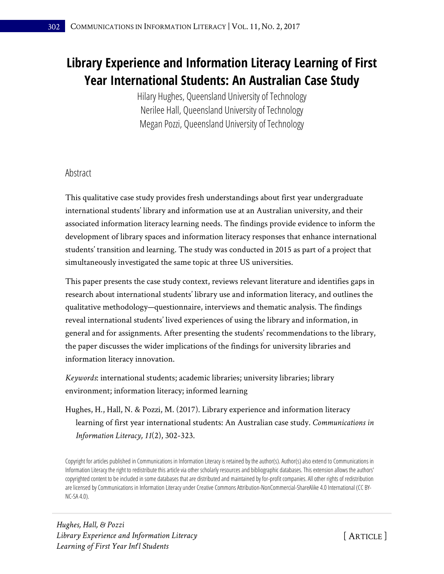# **Library Experience and Information Literacy Learning of First Year International Students: An Australian Case Study**

Hilary Hughes, Queensland University of Technology Nerilee Hall, Queensland University of Technology Megan Pozzi, Queensland University of Technology

### Abstract

This qualitative case study provides fresh understandings about first year undergraduate international students' library and information use at an Australian university, and their associated information literacy learning needs. The findings provide evidence to inform the development of library spaces and information literacy responses that enhance international students' transition and learning. The study was conducted in 2015 as part of a project that simultaneously investigated the same topic at three US universities.

This paper presents the case study context, reviews relevant literature and identifies gaps in research about international students' library use and information literacy, and outlines the qualitative methodology—questionnaire, interviews and thematic analysis. The findings reveal international students' lived experiences of using the library and information, in general and for assignments. After presenting the students' recommendations to the library, the paper discusses the wider implications of the findings for university libraries and information literacy innovation.

*Keywords*: international students; academic libraries; university libraries; library environment; information literacy; informed learning

Hughes, H., Hall, N. & Pozzi, M. (2017). Library experience and information literacy learning of first year international students: An Australian case study. *Communications in Information Literacy, 11*(2), 302-323.

Copyright for articles published in Communications in Information Literacy is retained by the author(s). Author(s) also extend to Communications in Information Literacy the right to redistribute this article via other scholarly resources and bibliographic databases. This extension allows the authors' copyrighted content to be included in some databases that are distributed and maintained by for-profit companies. All other rights of redistribution are licensed by Communications in Information Literacy under Creative Commons Attribution-NonCommercial-ShareAlike 4.0 International (CC BY-NC-SA 4.0).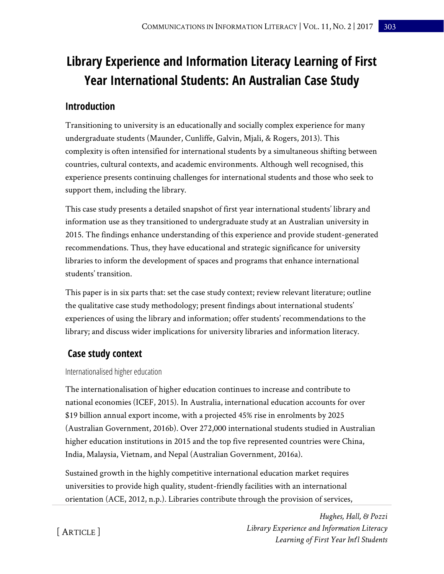# **Library Experience and Information Literacy Learning of First Year International Students: An Australian Case Study**

### **Introduction**

Transitioning to university is an educationally and socially complex experience for many undergraduate students (Maunder, Cunliffe, Galvin, Mjali, & Rogers, 2013). This complexity is often intensified for international students by a simultaneous shifting between countries, cultural contexts, and academic environments. Although well recognised, this experience presents continuing challenges for international students and those who seek to support them, including the library.

This case study presents a detailed snapshot of first year international students' library and information use as they transitioned to undergraduate study at an Australian university in 2015. The findings enhance understanding of this experience and provide student-generated recommendations. Thus, they have educational and strategic significance for university libraries to inform the development of spaces and programs that enhance international students' transition.

This paper is in six parts that: set the case study context; review relevant literature; outline the qualitative case study methodology; present findings about international students' experiences of using the library and information; offer students' recommendations to the library; and discuss wider implications for university libraries and information literacy.

## **Case study context**

### Internationalised higher education

The internationalisation of higher education continues to increase and contribute to national economies (ICEF, 2015). In Australia, international education accounts for over \$19 billion annual export income, with a projected 45% rise in enrolments by 2025 (Australian Government, 2016b). Over 272,000 international students studied in Australian higher education institutions in 2015 and the top five represented countries were China, India, Malaysia, Vietnam, and Nepal (Australian Government, 2016a).

Sustained growth in the highly competitive international education market requires universities to provide high quality, student-friendly facilities with an international orientation (ACE, 2012, n.p.). Libraries contribute through the provision of services,

> *Hughes, Hall, & Pozzi Library Experience and Information Literacy Learning of First Year Int'l Students*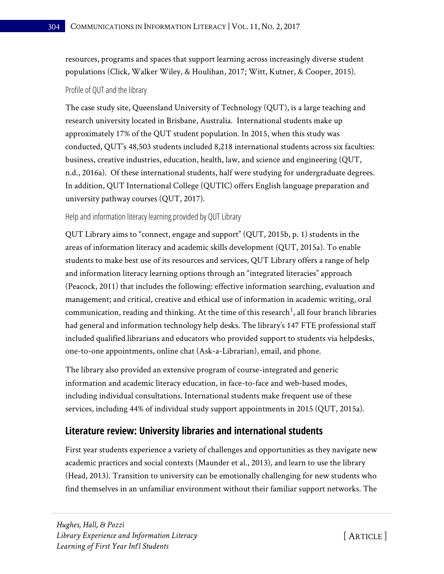resources, programs and spaces that support learning across increasingly diverse student populations (Click, Walker Wiley, & Houlihan, 2017; Witt, Kutner, & Cooper, 2015).

#### Profile of QUT and the library

The case study site, Queensland University of Technology (QUT), is a large teaching and research university located in Brisbane, Australia. International students make up approximately 17% of the QUT student population. In 2015, when this study was conducted, QUT's 48,503 students included 8,218 international students across six faculties: business, creative industries, education, health, law, and science and engineering (QUT, n.d., 2016a). Of these international students, half were studying for undergraduate degrees. In addition, QUT International College (QUTIC) offers English language preparation and university pathway courses (QUT, 2017).

#### Help and information literacy learning provided by QUT Library

QUT Library aims to "connect, engage and support" (QUT, 2015b, p. 1) students in the areas of information literacy and academic skills development (QUT, 2015a). To enable students to make best use of its resources and services, QUT Library offers a range of help and information literacy learning options through an "integrated literacies" approach (Peacock, 2011) that includes the following: effective information searching, evaluation and management; and critical, creative and ethical use of information in academic writing, oral communication, reading and thinking. At the time of this research $^1$ , all four branch libraries had general and information technology help desks. The library's 147 FTE professional staff included qualified librarians and educators who provided support to students via helpdesks, one-to-one appointments, online chat (Ask-a-Librarian), email, and phone.

The library also provided an extensive program of course-integrated and generic information and academic literacy education, in face-to-face and web-based modes, including individual consultations. International students make frequent use of these services, including 44% of individual study support appointments in 2015 (QUT, 2015a).

### **Literature review: University libraries and international students**

First year students experience a variety of challenges and opportunities as they navigate new academic practices and social contexts (Maunder et al., 2013), and learn to use the library (Head, 2013). Transition to university can be emotionally challenging for new students who find themselves in an unfamiliar environment without their familiar support networks. The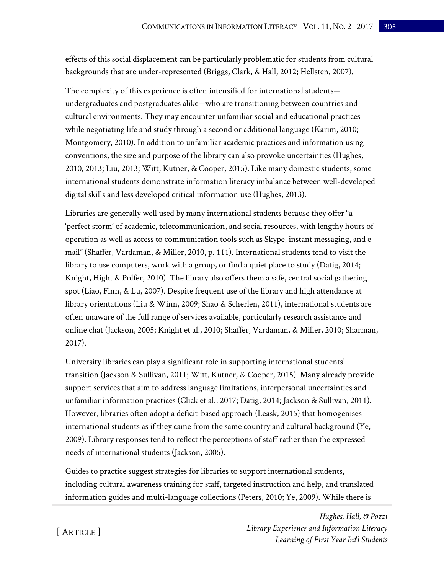effects of this social displacement can be particularly problematic for students from cultural backgrounds that are under-represented (Briggs, Clark, & Hall, 2012; Hellsten, 2007).

The complexity of this experience is often intensified for international students undergraduates and postgraduates alike—who are transitioning between countries and cultural environments. They may encounter unfamiliar social and educational practices while negotiating life and study through a second or additional language (Karim, 2010; Montgomery, 2010). In addition to unfamiliar academic practices and information using conventions, the size and purpose of the library can also provoke uncertainties (Hughes, 2010, 2013; Liu, 2013; Witt, Kutner, & Cooper, 2015). Like many domestic students, some international students demonstrate information literacy imbalance between well-developed digital skills and less developed critical information use (Hughes, 2013).

Libraries are generally well used by many international students because they offer "a 'perfect storm' of academic, telecommunication, and social resources, with lengthy hours of operation as well as access to communication tools such as Skype, instant messaging, and email" (Shaffer, Vardaman, & Miller, 2010, p. 111). International students tend to visit the library to use computers, work with a group, or find a quiet place to study (Datig, 2014; Knight, Hight & Polfer, 2010). The library also offers them a safe, central social gathering spot (Liao, Finn, & Lu, 2007). Despite frequent use of the library and high attendance at library orientations (Liu & Winn, 2009; Shao & Scherlen, 2011), international students are often unaware of the full range of services available, particularly research assistance and online chat (Jackson, 2005; Knight et al., 2010; Shaffer, Vardaman, & Miller, 2010; Sharman, 2017).

University libraries can play a significant role in supporting international students' transition (Jackson & Sullivan, 2011; Witt, Kutner, & Cooper, 2015). Many already provide support services that aim to address language limitations, interpersonal uncertainties and unfamiliar information practices (Click et al., 2017; Datig, 2014; Jackson & Sullivan, 2011). However, libraries often adopt a deficit-based approach (Leask, 2015) that homogenises international students as if they came from the same country and cultural background (Ye, 2009). Library responses tend to reflect the perceptions of staff rather than the expressed needs of international students (Jackson, 2005).

Guides to practice suggest strategies for libraries to support international students, including cultural awareness training for staff, targeted instruction and help, and translated information guides and multi-language collections (Peters, 2010; Ye, 2009). While there is

> *Hughes, Hall, & Pozzi Library Experience and Information Literacy Learning of First Year Int'l Students*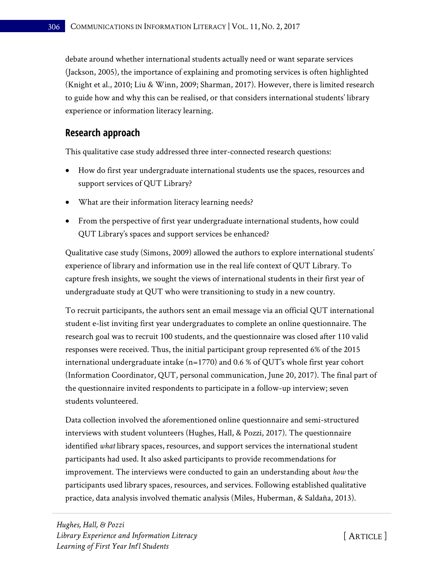debate around whether international students actually need or want separate services (Jackson, 2005), the importance of explaining and promoting services is often highlighted (Knight et al., 2010; Liu & Winn, 2009; Sharman, 2017). However, there is limited research to guide how and why this can be realised, or that considers international students' library experience or information literacy learning.

### **Research approach**

This qualitative case study addressed three inter-connected research questions:

- How do first year undergraduate international students use the spaces, resources and support services of QUT Library?
- What are their information literacy learning needs?
- From the perspective of first year undergraduate international students, how could QUT Library's spaces and support services be enhanced?

Qualitative case study (Simons, 2009) allowed the authors to explore international students' experience of library and information use in the real life context of QUT Library. To capture fresh insights, we sought the views of international students in their first year of undergraduate study at QUT who were transitioning to study in a new country.

To recruit participants, the authors sent an email message via an official QUT international student e-list inviting first year undergraduates to complete an online questionnaire. The research goal was to recruit 100 students, and the questionnaire was closed after 110 valid responses were received. Thus, the initial participant group represented 6% of the 2015 international undergraduate intake ( $n=1770$ ) and 0.6 % of QUT's whole first year cohort (Information Coordinator, QUT, personal communication, June 20, 2017). The final part of the questionnaire invited respondents to participate in a follow-up interview; seven students volunteered.

Data collection involved the aforementioned online questionnaire and semi-structured interviews with student volunteers (Hughes, Hall, & Pozzi, 2017). The questionnaire identified *what* library spaces, resources, and support services the international student participants had used. It also asked participants to provide recommendations for improvement. The interviews were conducted to gain an understanding about *how* the participants used library spaces, resources, and services. Following established qualitative practice, data analysis involved thematic analysis (Miles, Huberman, & Saldaña, 2013).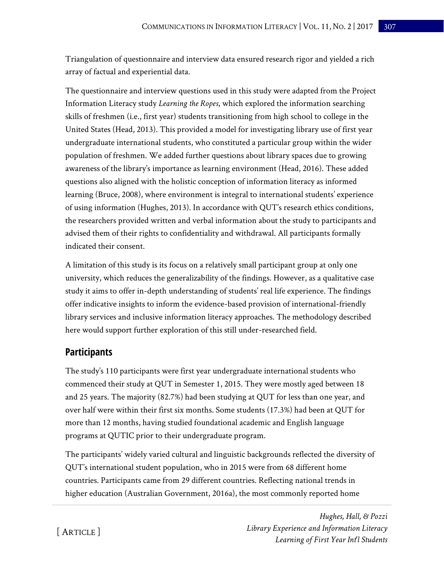Triangulation of questionnaire and interview data ensured research rigor and yielded a rich array of factual and experiential data.

The questionnaire and interview questions used in this study were adapted from the Project Information Literacy study *Learning the Ropes*, which explored the information searching skills of freshmen (i.e., first year) students transitioning from high school to college in the United States (Head, 2013). This provided a model for investigating library use of first year undergraduate international students, who constituted a particular group within the wider population of freshmen. We added further questions about library spaces due to growing awareness of the library's importance as learning environment (Head, 2016). These added questions also aligned with the holistic conception of information literacy as informed learning (Bruce, 2008), where environment is integral to international students' experience of using information (Hughes, 2013). In accordance with QUT's research ethics conditions, the researchers provided written and verbal information about the study to participants and advised them of their rights to confidentiality and withdrawal. All participants formally indicated their consent.

A limitation of this study is its focus on a relatively small participant group at only one university, which reduces the generalizability of the findings. However, as a qualitative case study it aims to offer in-depth understanding of students' real life experience. The findings offer indicative insights to inform the evidence-based provision of international-friendly library services and inclusive information literacy approaches. The methodology described here would support further exploration of this still under-researched field.

### **Participants**

The study's 110 participants were first year undergraduate international students who commenced their study at QUT in Semester 1, 2015. They were mostly aged between 18 and 25 years. The majority (82.7%) had been studying at QUT for less than one year, and over half were within their first six months. Some students (17.3%) had been at QUT for more than 12 months, having studied foundational academic and English language programs at QUTIC prior to their undergraduate program.

The participants' widely varied cultural and linguistic backgrounds reflected the diversity of QUT's international student population, who in 2015 were from 68 different home countries. Participants came from 29 different countries. Reflecting national trends in higher education (Australian Government, 2016a), the most commonly reported home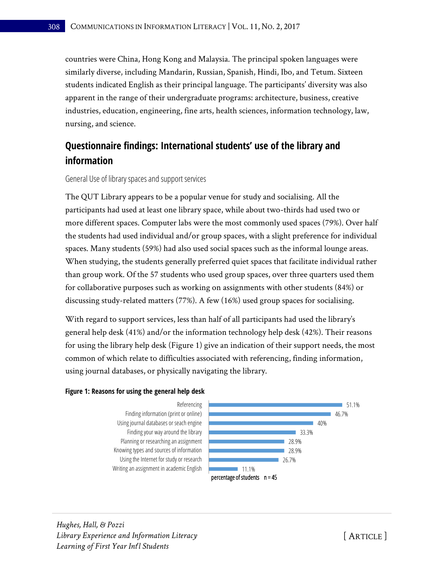countries were China, Hong Kong and Malaysia. The principal spoken languages were similarly diverse, including Mandarin, Russian, Spanish, Hindi, Ibo, and Tetum. Sixteen students indicated English as their principal language. The participants' diversity was also apparent in the range of their undergraduate programs: architecture, business, creative industries, education, engineering, fine arts, health sciences, information technology, law, nursing, and science.

## **Questionnaire findings: International students' use of the library and information**

#### General Use of library spaces and support services

The QUT Library appears to be a popular venue for study and socialising. All the participants had used at least one library space, while about two-thirds had used two or more different spaces. Computer labs were the most commonly used spaces (79%). Over half the students had used individual and/or group spaces, with a slight preference for individual spaces. Many students (59%) had also used social spaces such as the informal lounge areas. When studying, the students generally preferred quiet spaces that facilitate individual rather than group work. Of the 57 students who used group spaces, over three quarters used them for collaborative purposes such as working on assignments with other students (84%) or discussing study-related matters (77%). A few (16%) used group spaces for socialising.

With regard to support services, less than half of all participants had used the library's general help desk (41%) and/or the information technology help desk (42%). Their reasons for using the library help desk (Figure 1) give an indication of their support needs, the most common of which relate to difficulties associated with referencing, finding information, using journal databases, or physically navigating the library.

#### **Figure 1: Reasons for using the general help desk**



*Hughes, Hall, & Pozzi Library Experience and Information Literacy Learning of First Year Int'l Students*

[ ARTICLE ]

51.1%

46.7%

40%

■ 33.3%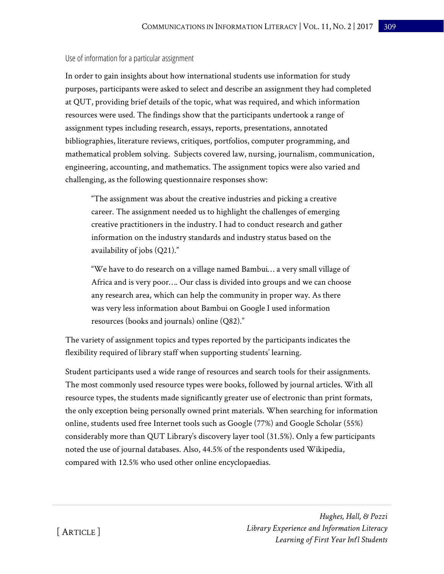#### Use of information for a particular assignment

In order to gain insights about how international students use information for study purposes, participants were asked to select and describe an assignment they had completed at QUT, providing brief details of the topic, what was required, and which information resources were used. The findings show that the participants undertook a range of assignment types including research, essays, reports, presentations, annotated bibliographies, literature reviews, critiques, portfolios, computer programming, and mathematical problem solving. Subjects covered law, nursing, journalism, communication, engineering, accounting, and mathematics. The assignment topics were also varied and challenging, as the following questionnaire responses show:

"The assignment was about the creative industries and picking a creative career. The assignment needed us to highlight the challenges of emerging creative practitioners in the industry. I had to conduct research and gather information on the industry standards and industry status based on the availability of jobs (Q21)."

"We have to do research on a village named Bambui… a very small village of Africa and is very poor…. Our class is divided into groups and we can choose any research area, which can help the community in proper way. As there was very less information about Bambui on Google I used information resources (books and journals) online (Q82)."

The variety of assignment topics and types reported by the participants indicates the flexibility required of library staff when supporting students' learning.

Student participants used a wide range of resources and search tools for their assignments. The most commonly used resource types were books, followed by journal articles. With all resource types, the students made significantly greater use of electronic than print formats, the only exception being personally owned print materials. When searching for information online, students used free Internet tools such as Google (77%) and Google Scholar (55%) considerably more than QUT Library's discovery layer tool (31.5%). Only a few participants noted the use of journal databases. Also, 44.5% of the respondents used Wikipedia, compared with 12.5% who used other online encyclopaedias.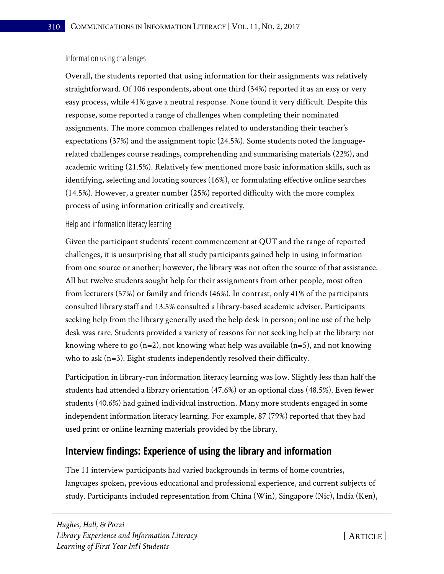#### Information using challenges

Overall, the students reported that using information for their assignments was relatively straightforward. Of 106 respondents, about one third (34%) reported it as an easy or very easy process, while 41% gave a neutral response. None found it very difficult. Despite this response, some reported a range of challenges when completing their nominated assignments. The more common challenges related to understanding their teacher's expectations (37%) and the assignment topic (24.5%). Some students noted the languagerelated challenges course readings, comprehending and summarising materials (22%), and academic writing (21.5%). Relatively few mentioned more basic information skills, such as identifying, selecting and locating sources (16%), or formulating effective online searches (14.5%). However, a greater number (25%) reported difficulty with the more complex process of using information critically and creatively.

### Help and information literacy learning

Given the participant students' recent commencement at QUT and the range of reported challenges, it is unsurprising that all study participants gained help in using information from one source or another; however, the library was not often the source of that assistance. All but twelve students sought help for their assignments from other people, most often from lecturers (57%) or family and friends (46%). In contrast, only 41% of the participants consulted library staff and 13.5% consulted a library-based academic adviser. Participants seeking help from the library generally used the help desk in person; online use of the help desk was rare. Students provided a variety of reasons for not seeking help at the library: not knowing where to go (n=2), not knowing what help was available (n=5), and not knowing who to ask  $(n=3)$ . Eight students independently resolved their difficulty.

Participation in library-run information literacy learning was low. Slightly less than half the students had attended a library orientation (47.6%) or an optional class (48.5%). Even fewer students (40.6%) had gained individual instruction. Many more students engaged in some independent information literacy learning. For example, 87 (79%) reported that they had used print or online learning materials provided by the library.

### **Interview findings: Experience of using the library and information**

The 11 interview participants had varied backgrounds in terms of home countries, languages spoken, previous educational and professional experience, and current subjects of study. Participants included representation from China (Win), Singapore (Nic), India (Ken),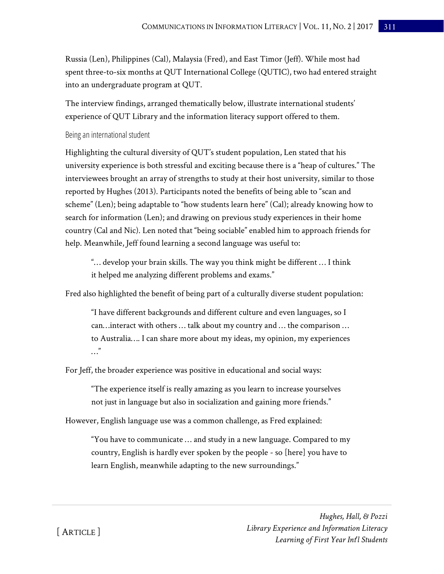Russia (Len), Philippines (Cal), Malaysia (Fred), and East Timor (Jeff). While most had spent three-to-six months at QUT International College (QUTIC), two had entered straight into an undergraduate program at QUT.

The interview findings, arranged thematically below, illustrate international students' experience of QUT Library and the information literacy support offered to them.

#### Being an international student

Highlighting the cultural diversity of QUT's student population, Len stated that his university experience is both stressful and exciting because there is a "heap of cultures." The interviewees brought an array of strengths to study at their host university, similar to those reported by Hughes (2013). Participants noted the benefits of being able to "scan and scheme" (Len); being adaptable to "how students learn here" (Cal); already knowing how to search for information (Len); and drawing on previous study experiences in their home country (Cal and Nic). Len noted that "being sociable" enabled him to approach friends for help. Meanwhile, Jeff found learning a second language was useful to:

"… develop your brain skills. The way you think might be different … I think it helped me analyzing different problems and exams."

Fred also highlighted the benefit of being part of a culturally diverse student population:

"I have different backgrounds and different culture and even languages, so I can…interact with others … talk about my country and … the comparison … to Australia…. I can share more about my ideas, my opinion, my experiences …"

For Jeff, the broader experience was positive in educational and social ways:

"The experience itself is really amazing as you learn to increase yourselves not just in language but also in socialization and gaining more friends."

However, English language use was a common challenge, as Fred explained:

"You have to communicate … and study in a new language. Compared to my country, English is hardly ever spoken by the people - so [here] you have to learn English, meanwhile adapting to the new surroundings."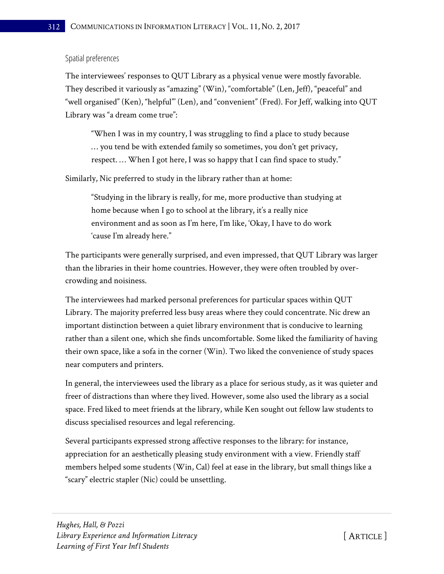#### Spatial preferences

The interviewees' responses to QUT Library as a physical venue were mostly favorable. They described it variously as "amazing" (Win), "comfortable" (Len, Jeff), "peaceful" and "well organised" (Ken), "helpful"' (Len), and "convenient" (Fred). For Jeff, walking into QUT Library was "a dream come true":

"When I was in my country, I was struggling to find a place to study because … you tend be with extended family so sometimes, you don't get privacy, respect. … When I got here, I was so happy that I can find space to study."

Similarly, Nic preferred to study in the library rather than at home:

"Studying in the library is really, for me, more productive than studying at home because when I go to school at the library, it's a really nice environment and as soon as I'm here, I'm like, 'Okay, I have to do work 'cause I'm already here."

The participants were generally surprised, and even impressed, that QUT Library was larger than the libraries in their home countries. However, they were often troubled by overcrowding and noisiness.

The interviewees had marked personal preferences for particular spaces within QUT Library. The majority preferred less busy areas where they could concentrate. Nic drew an important distinction between a quiet library environment that is conducive to learning rather than a silent one, which she finds uncomfortable. Some liked the familiarity of having their own space, like a sofa in the corner (Win). Two liked the convenience of study spaces near computers and printers.

In general, the interviewees used the library as a place for serious study, as it was quieter and freer of distractions than where they lived. However, some also used the library as a social space. Fred liked to meet friends at the library, while Ken sought out fellow law students to discuss specialised resources and legal referencing.

Several participants expressed strong affective responses to the library: for instance, appreciation for an aesthetically pleasing study environment with a view. Friendly staff members helped some students (Win, Cal) feel at ease in the library, but small things like a "scary" electric stapler (Nic) could be unsettling.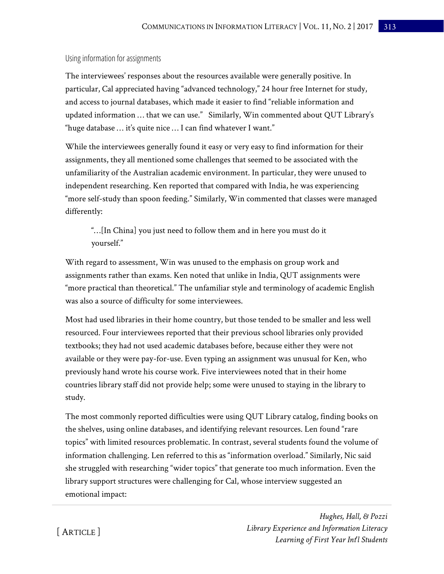#### Using information for assignments

The interviewees' responses about the resources available were generally positive. In particular, Cal appreciated having "advanced technology," 24 hour free Internet for study, and access to journal databases, which made it easier to find "reliable information and updated information … that we can use." Similarly, Win commented about QUT Library's "huge database … it's quite nice … I can find whatever I want."

While the interviewees generally found it easy or very easy to find information for their assignments, they all mentioned some challenges that seemed to be associated with the unfamiliarity of the Australian academic environment. In particular, they were unused to independent researching. Ken reported that compared with India, he was experiencing "more self-study than spoon feeding." Similarly, Win commented that classes were managed differently:

"…[In China] you just need to follow them and in here you must do it yourself."

With regard to assessment, Win was unused to the emphasis on group work and assignments rather than exams. Ken noted that unlike in India, QUT assignments were "more practical than theoretical." The unfamiliar style and terminology of academic English was also a source of difficulty for some interviewees.

Most had used libraries in their home country, but those tended to be smaller and less well resourced. Four interviewees reported that their previous school libraries only provided textbooks; they had not used academic databases before, because either they were not available or they were pay-for-use. Even typing an assignment was unusual for Ken, who previously hand wrote his course work. Five interviewees noted that in their home countries library staff did not provide help; some were unused to staying in the library to study.

The most commonly reported difficulties were using QUT Library catalog, finding books on the shelves, using online databases, and identifying relevant resources. Len found "rare topics" with limited resources problematic. In contrast, several students found the volume of information challenging. Len referred to this as "information overload." Similarly, Nic said she struggled with researching "wider topics" that generate too much information. Even the library support structures were challenging for Cal, whose interview suggested an emotional impact:

> *Hughes, Hall, & Pozzi Library Experience and Information Literacy Learning of First Year Int'l Students*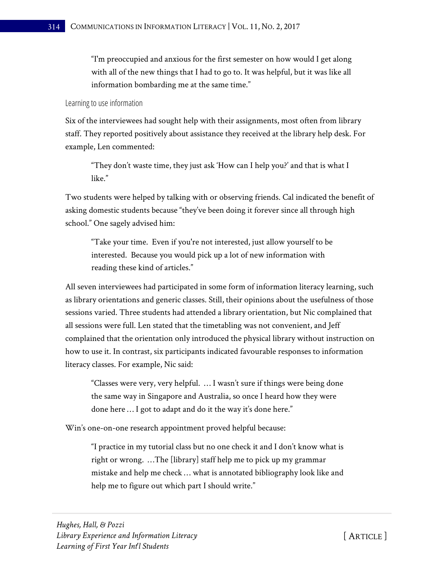"I'm preoccupied and anxious for the first semester on how would I get along with all of the new things that I had to go to. It was helpful, but it was like all information bombarding me at the same time."

#### Learning to use information

Six of the interviewees had sought help with their assignments, most often from library staff. They reported positively about assistance they received at the library help desk. For example, Len commented:

"They don't waste time, they just ask 'How can I help you?' and that is what I like."

Two students were helped by talking with or observing friends. Cal indicated the benefit of asking domestic students because "they've been doing it forever since all through high school." One sagely advised him:

"Take your time. Even if you're not interested, just allow yourself to be interested. Because you would pick up a lot of new information with reading these kind of articles."

All seven interviewees had participated in some form of information literacy learning, such as library orientations and generic classes. Still, their opinions about the usefulness of those sessions varied. Three students had attended a library orientation, but Nic complained that all sessions were full. Len stated that the timetabling was not convenient, and Jeff complained that the orientation only introduced the physical library without instruction on how to use it. In contrast, six participants indicated favourable responses to information literacy classes. For example, Nic said:

"Classes were very, very helpful. … I wasn't sure if things were being done the same way in Singapore and Australia, so once I heard how they were done here … I got to adapt and do it the way it's done here."

Win's one-on-one research appointment proved helpful because:

"I practice in my tutorial class but no one check it and I don't know what is right or wrong. …The [library] staff help me to pick up my grammar mistake and help me check … what is annotated bibliography look like and help me to figure out which part I should write."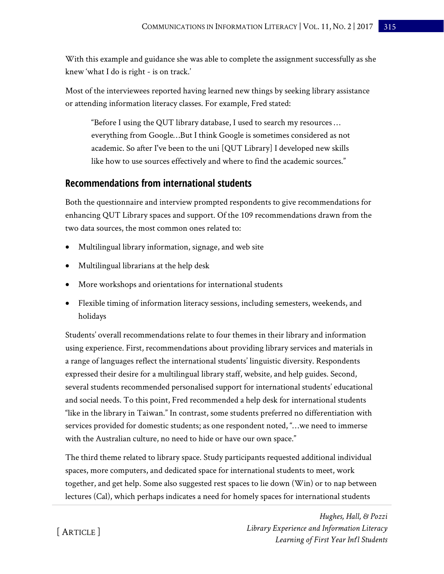With this example and guidance she was able to complete the assignment successfully as she knew 'what I do is right - is on track.'

Most of the interviewees reported having learned new things by seeking library assistance or attending information literacy classes. For example, Fred stated:

"Before I using the QUT library database, I used to search my resources … everything from Google…But I think Google is sometimes considered as not academic. So after I've been to the uni [QUT Library] I developed new skills like how to use sources effectively and where to find the academic sources."

### **Recommendations from international students**

Both the questionnaire and interview prompted respondents to give recommendations for enhancing QUT Library spaces and support. Of the 109 recommendations drawn from the two data sources, the most common ones related to:

- Multilingual library information, signage, and web site
- Multilingual librarians at the help desk
- More workshops and orientations for international students
- Flexible timing of information literacy sessions, including semesters, weekends, and holidays

Students' overall recommendations relate to four themes in their library and information using experience. First, recommendations about providing library services and materials in a range of languages reflect the international students' linguistic diversity. Respondents expressed their desire for a multilingual library staff, website, and help guides. Second, several students recommended personalised support for international students' educational and social needs. To this point, Fred recommended a help desk for international students "like in the library in Taiwan." In contrast, some students preferred no differentiation with services provided for domestic students; as one respondent noted, "…we need to immerse with the Australian culture, no need to hide or have our own space."

The third theme related to library space. Study participants requested additional individual spaces, more computers, and dedicated space for international students to meet, work together, and get help. Some also suggested rest spaces to lie down (Win) or to nap between lectures (Cal), which perhaps indicates a need for homely spaces for international students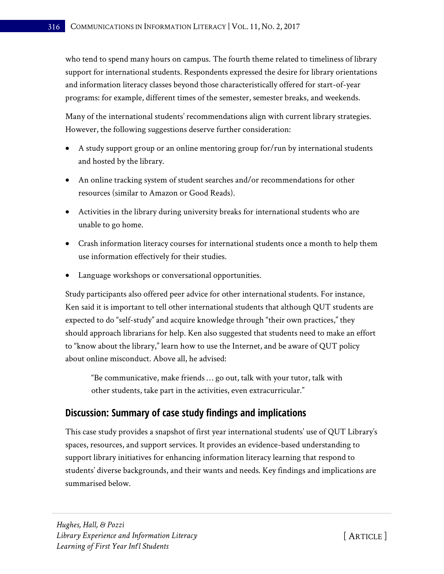who tend to spend many hours on campus. The fourth theme related to timeliness of library support for international students. Respondents expressed the desire for library orientations and information literacy classes beyond those characteristically offered for start-of-year programs: for example, different times of the semester, semester breaks, and weekends.

Many of the international students' recommendations align with current library strategies. However, the following suggestions deserve further consideration:

- A study support group or an online mentoring group for/run by international students and hosted by the library.
- An online tracking system of student searches and/or recommendations for other resources (similar to Amazon or Good Reads).
- Activities in the library during university breaks for international students who are unable to go home.
- Crash information literacy courses for international students once a month to help them use information effectively for their studies.
- Language workshops or conversational opportunities.

Study participants also offered peer advice for other international students. For instance, Ken said it is important to tell other international students that although QUT students are expected to do "self-study" and acquire knowledge through "their own practices," they should approach librarians for help. Ken also suggested that students need to make an effort to "know about the library," learn how to use the Internet, and be aware of QUT policy about online misconduct. Above all, he advised:

"Be communicative, make friends … go out, talk with your tutor, talk with other students, take part in the activities, even extracurricular."

### **Discussion: Summary of case study findings and implications**

This case study provides a snapshot of first year international students' use of QUT Library's spaces, resources, and support services. It provides an evidence-based understanding to support library initiatives for enhancing information literacy learning that respond to students' diverse backgrounds, and their wants and needs. Key findings and implications are summarised below.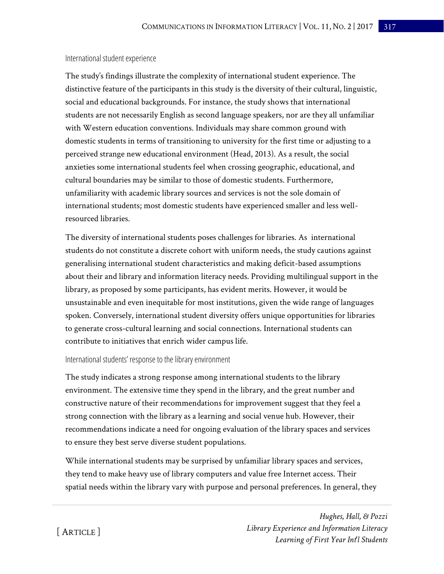#### International student experience

The study's findings illustrate the complexity of international student experience. The distinctive feature of the participants in this study is the diversity of their cultural, linguistic, social and educational backgrounds. For instance, the study shows that international students are not necessarily English as second language speakers, nor are they all unfamiliar with Western education conventions. Individuals may share common ground with domestic students in terms of transitioning to university for the first time or adjusting to a perceived strange new educational environment (Head, 2013). As a result, the social anxieties some international students feel when crossing geographic, educational, and cultural boundaries may be similar to those of domestic students. Furthermore, unfamiliarity with academic library sources and services is not the sole domain of international students; most domestic students have experienced smaller and less wellresourced libraries.

The diversity of international students poses challenges for libraries. As international students do not constitute a discrete cohort with uniform needs, the study cautions against generalising international student characteristics and making deficit-based assumptions about their and library and information literacy needs. Providing multilingual support in the library, as proposed by some participants, has evident merits. However, it would be unsustainable and even inequitable for most institutions, given the wide range of languages spoken. Conversely, international student diversity offers unique opportunities for libraries to generate cross-cultural learning and social connections. International students can contribute to initiatives that enrich wider campus life.

#### International students' response to the library environment

The study indicates a strong response among international students to the library environment. The extensive time they spend in the library, and the great number and constructive nature of their recommendations for improvement suggest that they feel a strong connection with the library as a learning and social venue hub. However, their recommendations indicate a need for ongoing evaluation of the library spaces and services to ensure they best serve diverse student populations.

While international students may be surprised by unfamiliar library spaces and services, they tend to make heavy use of library computers and value free Internet access. Their spatial needs within the library vary with purpose and personal preferences. In general, they

> *Hughes, Hall, & Pozzi Library Experience and Information Literacy Learning of First Year Int'l Students*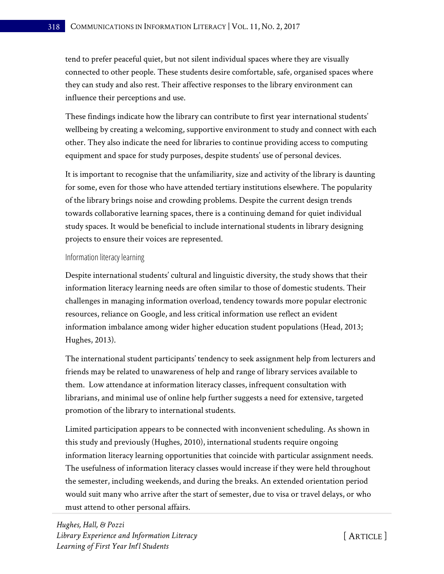tend to prefer peaceful quiet, but not silent individual spaces where they are visually connected to other people. These students desire comfortable, safe, organised spaces where they can study and also rest. Their affective responses to the library environment can influence their perceptions and use.

These findings indicate how the library can contribute to first year international students' wellbeing by creating a welcoming, supportive environment to study and connect with each other. They also indicate the need for libraries to continue providing access to computing equipment and space for study purposes, despite students' use of personal devices.

It is important to recognise that the unfamiliarity, size and activity of the library is daunting for some, even for those who have attended tertiary institutions elsewhere. The popularity of the library brings noise and crowding problems. Despite the current design trends towards collaborative learning spaces, there is a continuing demand for quiet individual study spaces. It would be beneficial to include international students in library designing projects to ensure their voices are represented.

#### Information literacy learning

Despite international students' cultural and linguistic diversity, the study shows that their information literacy learning needs are often similar to those of domestic students. Their challenges in managing information overload, tendency towards more popular electronic resources, reliance on Google, and less critical information use reflect an evident information imbalance among wider higher education student populations (Head, 2013; Hughes, 2013).

The international student participants' tendency to seek assignment help from lecturers and friends may be related to unawareness of help and range of library services available to them. Low attendance at information literacy classes, infrequent consultation with librarians, and minimal use of online help further suggests a need for extensive, targeted promotion of the library to international students.

Limited participation appears to be connected with inconvenient scheduling. As shown in this study and previously (Hughes, 2010), international students require ongoing information literacy learning opportunities that coincide with particular assignment needs. The usefulness of information literacy classes would increase if they were held throughout the semester, including weekends, and during the breaks. An extended orientation period would suit many who arrive after the start of semester, due to visa or travel delays, or who must attend to other personal affairs.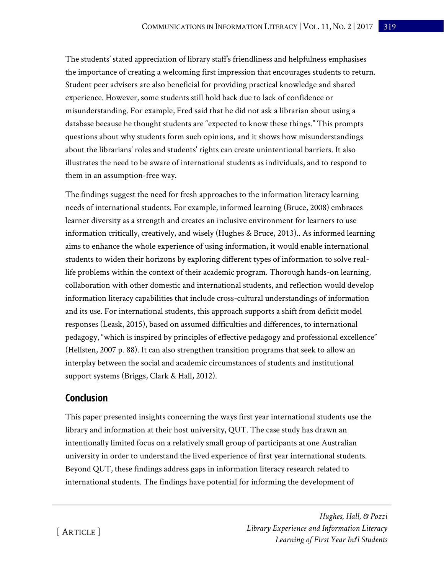The students' stated appreciation of library staff's friendliness and helpfulness emphasises the importance of creating a welcoming first impression that encourages students to return. Student peer advisers are also beneficial for providing practical knowledge and shared experience. However, some students still hold back due to lack of confidence or misunderstanding. For example, Fred said that he did not ask a librarian about using a database because he thought students are "expected to know these things." This prompts questions about why students form such opinions, and it shows how misunderstandings about the librarians' roles and students' rights can create unintentional barriers. It also illustrates the need to be aware of international students as individuals, and to respond to them in an assumption-free way.

The findings suggest the need for fresh approaches to the information literacy learning needs of international students. For example, informed learning (Bruce, 2008) embraces learner diversity as a strength and creates an inclusive environment for learners to use information critically, creatively, and wisely (Hughes & Bruce, 2013).. As informed learning aims to enhance the whole experience of using information, it would enable international students to widen their horizons by exploring different types of information to solve reallife problems within the context of their academic program. Thorough hands-on learning, collaboration with other domestic and international students, and reflection would develop information literacy capabilities that include cross-cultural understandings of information and its use. For international students, this approach supports a shift from deficit model responses (Leask, 2015), based on assumed difficulties and differences, to international pedagogy, "which is inspired by principles of effective pedagogy and professional excellence" (Hellsten, 2007 p. 88). It can also strengthen transition programs that seek to allow an interplay between the social and academic circumstances of students and institutional support systems (Briggs, Clark & Hall, 2012).

### **Conclusion**

This paper presented insights concerning the ways first year international students use the library and information at their host university, QUT. The case study has drawn an intentionally limited focus on a relatively small group of participants at one Australian university in order to understand the lived experience of first year international students. Beyond QUT, these findings address gaps in information literacy research related to international students. The findings have potential for informing the development of

> *Hughes, Hall, & Pozzi Library Experience and Information Literacy Learning of First Year Int'l Students*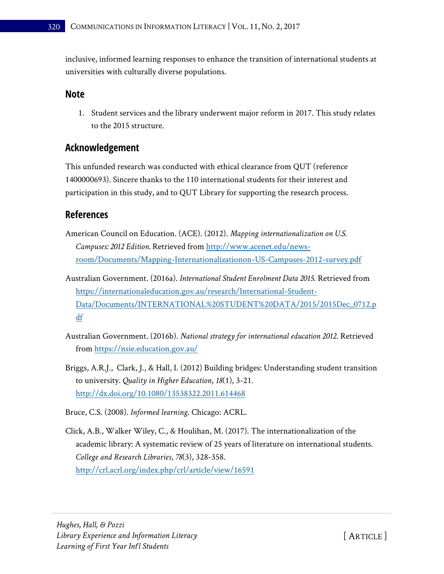inclusive, informed learning responses to enhance the transition of international students at universities with culturally diverse populations.

### **Note**

1. Student services and the library underwent major reform in 2017. This study relates to the 2015 structure.

### **Acknowledgement**

This unfunded research was conducted with ethical clearance from QUT (reference 1400000693). Sincere thanks to the 110 international students for their interest and participation in this study, and to QUT Library for supporting the research process.

### **References**

- American Council on Education. (ACE). (2012). *Mapping internationalization on U.S. Campuses: 2012 Edition.* Retrieved from [http://www.acenet.edu/news](http://www.acenet.edu/news-room/Documents/Mapping-Internationalizationon-US-Campuses-2012-survey.pdf)[room/Documents/Mapping-Internationalizationon-US-Campuses-2012-survey.pdf](http://www.acenet.edu/news-room/Documents/Mapping-Internationalizationon-US-Campuses-2012-survey.pdf)
- Australian Government. (2016a). *International Student Enrolment Data 2015*. Retrieved from [https://internationaleducation.gov.au/research/International-Student-](https://internationaleducation.gov.au/research/International-Student-Data/Documents/INTERNATIONAL%20STUDENT%20DATA/2015/2015Dec_0712.pdf)[Data/Documents/INTERNATIONAL%20STUDENT%20DATA/2015/2015Dec\\_0712.p](https://internationaleducation.gov.au/research/International-Student-Data/Documents/INTERNATIONAL%20STUDENT%20DATA/2015/2015Dec_0712.pdf) [df](https://internationaleducation.gov.au/research/International-Student-Data/Documents/INTERNATIONAL%20STUDENT%20DATA/2015/2015Dec_0712.pdf)
- Australian Government. (2016b). *National strategy for international education 2012*. Retrieved from<https://nsie.education.gov.au/>
- Briggs, A.R.J., Clark, J., & Hall, I. (2012) Building bridges: Understanding student transition to university. *Quality in Higher Education*, *18*(1), 3-21. <http://dx.doi.org/10.1080/13538322.2011.614468>
- Bruce, C.S. (2008). *Informed learning*. Chicago: ACRL.
- Click, A.B., Walker Wiley, C., & Houlihan, M. (2017). The internationalization of the academic library: A systematic review of 25 years of literature on international students. *College and Research Libraries*, *78*(3), 328-358. <http://crl.acrl.org/index.php/crl/article/view/16591>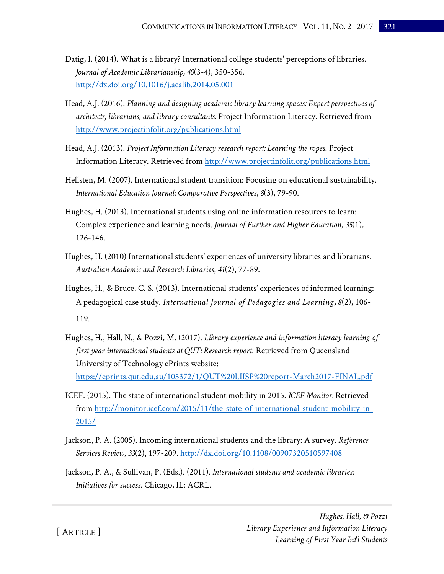- Datig, I. (2014). What is a library? International college students' perceptions of libraries. *Journal of Academic Librarianship, 40*(3-4), 350-356. <http://dx.doi.org/10.1016/j.acalib.2014.05.001>
- Head, A.J. (2016). *Planning and designing academic library learning spaces: Expert perspectives of architects, librarians, and library consultants.* Project Information Literacy. Retrieved from <http://www.projectinfolit.org/publications.html>
- Head, A.J. (2013). *Project Information Literacy research report: Learning the ropes*. Project Information Literacy. Retrieved from <http://www.projectinfolit.org/publications.html>
- Hellsten, M. (2007). International student transition: Focusing on educational sustainability. *International Education Journal: Comparative Perspectives*, *8*(3), 79-90.
- Hughes, H. (2013). International students using online information resources to learn: Complex experience and learning needs. *Journal of Further and Higher Education*, *35*(1), 126-146.
- Hughes, H. (2010) International students' experiences of university libraries and librarians. *Australian Academic and Research Libraries*, *41*(2), 77-89.
- Hughes, H., & Bruce, C. S. (2013). International students' experiences of informed learning: A pedagogical case study. *International Journal of Pedagogies and Learning***,** *8*(2), 106- 119.
- Hughes, H., Hall, N., & Pozzi, M. (2017). *Library experience and information literacy learning of first year international students at QUT: Research report*. Retrieved from Queensland University of Technology ePrints website: <https://eprints.qut.edu.au/105372/1/QUT%20LIISP%20report-March2017-FINAL.pdf>
- ICEF. (2015). The state of international student mobility in 2015. *ICEF Monitor.* Retrieved from [http://monitor.icef.com/2015/11/the-state-of-international-student-mobility-in-](http://monitor.icef.com/2015/11/the-state-of-international-student-mobility-in-2015/)[2015/](http://monitor.icef.com/2015/11/the-state-of-international-student-mobility-in-2015/)
- Jackson, P. A. (2005). Incoming international students and the library: A survey. *Reference Services Review, 33*(2), 197-209[. http://dx.doi.org/10.1108/00907320510597408](http://dx.doi.org/10.1108/00907320510597408)
- Jackson, P. A., & Sullivan, P. (Eds.). (2011). *International students and academic libraries: Initiatives for success*. Chicago, IL: ACRL.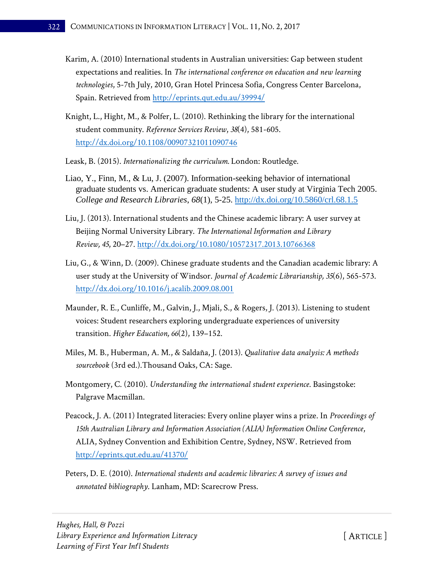- Karim, A. (2010) International students in Australian universities: Gap between student expectations and realities. In *The international conference on education and new learning technologies*, 5-7th July, 2010, Gran Hotel Princesa Sofia, Congress Center Barcelona, Spain. Retrieved from <http://eprints.qut.edu.au/39994/>
- Knight, L., Hight, M., & Polfer, L. (2010). Rethinking the library for the international student community. *Reference Services Review*, *38*(4), 581-605. <http://dx.doi.org/10.1108/00907321011090746>
- Leask, B. (2015). *Internationalizing the curriculum.* London: Routledge.
- Liao, Y., Finn, M., & Lu, J. (2007). Information-seeking behavior of international graduate students vs. American graduate students: A user study at Virginia Tech 2005. *College and Research Libraries*, *68*(1), 5-25.<http://dx.doi.org/10.5860/crl.68.1.5>
- Liu, J. (2013). International students and the Chinese academic library: A user survey at Beijing Normal University Library. *The International Information and Library Review, 45*, 20–27.<http://dx.doi.org/10.1080/10572317.2013.10766368>
- Liu, G., & Winn, D. (2009). Chinese graduate students and the Canadian academic library: A user study at the University of Windsor. *Journal of Academic Librarianship, 35*(6), 565-573. <http://dx.doi.org/10.1016/j.acalib.2009.08.001>
- Maunder, R. E., Cunliffe, M., Galvin, J., Mjali, S., & Rogers, J. (2013). Listening to student voices: Student researchers exploring undergraduate experiences of university transition. *Higher Education, 66*(2), 139–152.
- Miles, M. B., Huberman, A. M., & Saldaña, J. (2013). *Qualitative data analysis: A methods sourcebook* (3rd ed.).Thousand Oaks, CA: Sage.
- Montgomery, C. (2010). *Understanding the international student experience*. Basingstoke: Palgrave Macmillan.
- Peacock, J. A. (2011) Integrated literacies: Every online player wins a prize. In *Proceedings of 15th Australian Library and Information Association (ALIA) Information Online Conference*, ALIA, Sydney Convention and Exhibition Centre, Sydney, NSW. Retrieved from <http://eprints.qut.edu.au/41370/>
- Peters, D. E. (2010). *International students and academic libraries: A survey of issues and annotated bibliography*. Lanham, MD: Scarecrow Press.